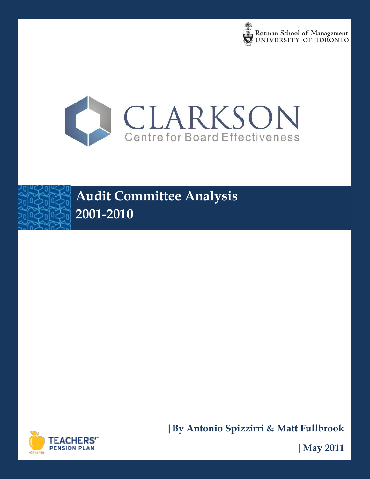







**|By Antonio Spizzirri & Matt Fullbrook**

**|May 2011**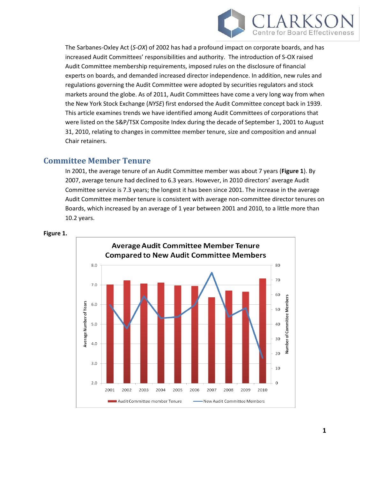

The Sarbanes-Oxley Act (*S-OX*) of 2002 has had a profound impact on corporate boards, and has increased Audit Committees' responsibilities and authority. The introduction of S-OX raised Audit Committee membership requirements, imposed rules on the disclosure of financial experts on boards, and demanded increased director independence. In addition, new rules and regulations governing the Audit Committee were adopted by securities regulators and stock markets around the globe. As of 2011, Audit Committees have come a very long way from when the New York Stock Exchange (*NYSE*) first endorsed the Audit Committee concept back in 1939. This article examines trends we have identified among Audit Committees of corporations that were listed on the S&P/TSX Composite Index during the decade of September 1, 2001 to August 31, 2010, relating to changes in committee member tenure, size and composition and annual Chair retainers.

### **Committee Member Tenure**

In 2001, the average tenure of an Audit Committee member was about 7 years (**Figure 1**). By 2007, average tenure had declined to 6.3 years. However, in 2010 directors' average Audit Committee service is 7.3 years; the longest it has been since 2001. The increase in the average Audit Committee member tenure is consistent with average non-committee director tenures on Boards, which increased by an average of 1 year between 2001 and 2010, to a little more than 10.2 years.



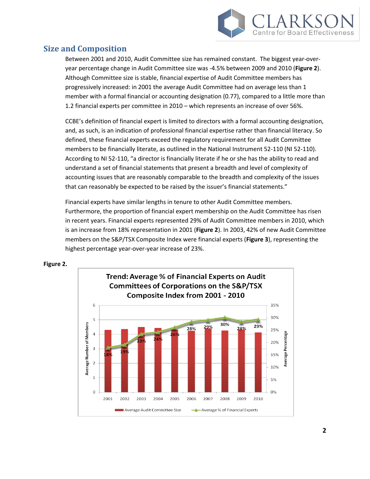

# **Size and Composition**

Between 2001 and 2010, Audit Committee size has remained constant. The biggest year-overyear percentage change in Audit Committee size was -4.5% between 2009 and 2010 (**Figure 2**). Although Committee size is stable, financial expertise of Audit Committee members has progressively increased: in 2001 the average Audit Committee had on average less than 1 member with a formal financial or accounting designation (0.77), compared to a little more than 1.2 financial experts per committee in 2010 – which represents an increase of over 56%.

CCBE's definition of financial expert is limited to directors with a formal accounting designation, and, as such, is an indication of professional financial expertise rather than financial literacy. So defined, these financial experts exceed the regulatory requirement for all Audit Committee members to be financially literate, as outlined in the National Instrument 52-110 (NI 52-110). According to NI 52-110, "a director is financially literate if he or she has the ability to read and understand a set of financial statements that present a breadth and level of complexity of accounting issues that are reasonably comparable to the breadth and complexity of the issues that can reasonably be expected to be raised by the issuer's financial statements."

Financial experts have similar lengths in tenure to other Audit Committee members. Furthermore, the proportion of financial expert membership on the Audit Committee has risen in recent years. Financial experts represented 29% of Audit Committee members in 2010, which is an increase from 18% representation in 2001 (**Figure 2**). In 2003, 42% of new Audit Committee members on the S&P/TSX Composite Index were financial experts (**Figure 3**), representing the highest percentage year-over-year increase of 23%.



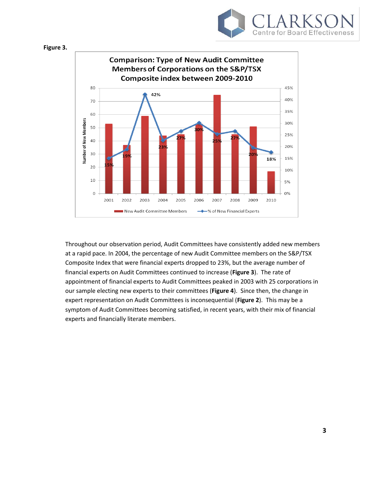





Throughout our observation period, Audit Committees have consistently added new members at a rapid pace. In 2004, the percentage of new Audit Committee members on the S&P/TSX Composite Index that were financial experts dropped to 23%, but the average number of financial experts on Audit Committees continued to increase (**Figure 3**). The rate of appointment of financial experts to Audit Committees peaked in 2003 with 25 corporations in our sample electing new experts to their committees (**Figure 4**). Since then, the change in expert representation on Audit Committees is inconsequential (**Figure 2**). This may be a symptom of Audit Committees becoming satisfied, in recent years, with their mix of financial experts and financially literate members.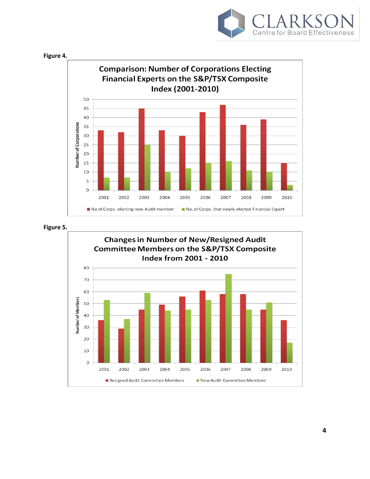



**Figure 5.**

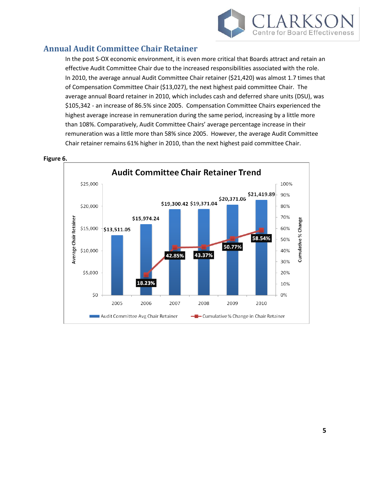

# **Annual Audit Committee Chair Retainer**

In the post S-OX economic environment, it is even more critical that Boards attract and retain an effective Audit Committee Chair due to the increased responsibilities associated with the role. In 2010, the average annual Audit Committee Chair retainer (\$21,420) was almost 1.7 times that of Compensation Committee Chair (\$13,027), the next highest paid committee Chair. The average annual Board retainer in 2010, which includes cash and deferred share units (DSU), was \$105,342 - an increase of 86.5% since 2005. Compensation Committee Chairs experienced the highest average increase in remuneration during the same period, increasing by a little more than 108%. Comparatively, Audit Committee Chairs' average percentage increase in their remuneration was a little more than 58% since 2005. However, the average Audit Committee Chair retainer remains 61% higher in 2010, than the next highest paid committee Chair.



#### **Figure 6.**